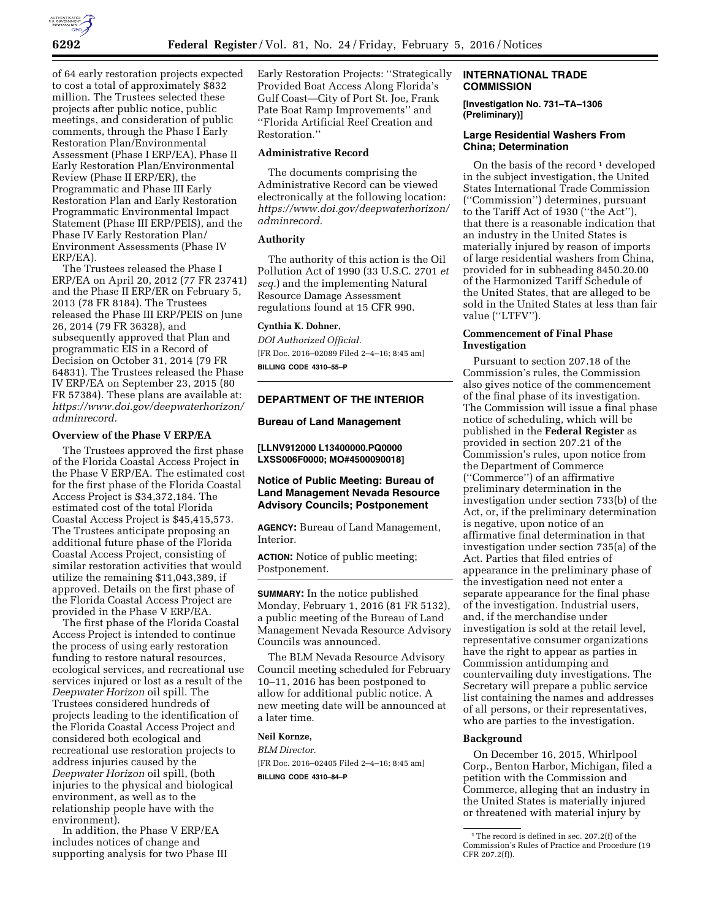

of 64 early restoration projects expected to cost a total of approximately \$832 million. The Trustees selected these projects after public notice, public meetings, and consideration of public comments, through the Phase I Early Restoration Plan/Environmental Assessment (Phase I ERP/EA), Phase II Early Restoration Plan/Environmental Review (Phase II ERP/ER), the Programmatic and Phase III Early Restoration Plan and Early Restoration Programmatic Environmental Impact Statement (Phase III ERP/PEIS), and the Phase IV Early Restoration Plan/ Environment Assessments (Phase IV ERP/EA).

The Trustees released the Phase I ERP/EA on April 20, 2012 (77 FR 23741) and the Phase II ERP/ER on February 5, 2013 (78 FR 8184). The Trustees released the Phase III ERP/PEIS on June 26, 2014 (79 FR 36328), and subsequently approved that Plan and programmatic EIS in a Record of Decision on October 31, 2014 (79 FR 64831). The Trustees released the Phase IV ERP/EA on September 23, 2015 (80 FR 57384). These plans are available at: *[https://www.doi.gov/deepwaterhorizon/](https://www.doi.gov/deepwaterhorizon/adminrecord) [adminrecord.](https://www.doi.gov/deepwaterhorizon/adminrecord)* 

#### **Overview of the Phase V ERP/EA**

The Trustees approved the first phase of the Florida Coastal Access Project in the Phase V ERP/EA. The estimated cost for the first phase of the Florida Coastal Access Project is \$34,372,184. The estimated cost of the total Florida Coastal Access Project is \$45,415,573. The Trustees anticipate proposing an additional future phase of the Florida Coastal Access Project, consisting of similar restoration activities that would utilize the remaining \$11,043,389, if approved. Details on the first phase of the Florida Coastal Access Project are provided in the Phase V ERP/EA.

The first phase of the Florida Coastal Access Project is intended to continue the process of using early restoration funding to restore natural resources, ecological services, and recreational use services injured or lost as a result of the *Deepwater Horizon* oil spill. The Trustees considered hundreds of projects leading to the identification of the Florida Coastal Access Project and considered both ecological and recreational use restoration projects to address injuries caused by the *Deepwater Horizon* oil spill, (both injuries to the physical and biological environment, as well as to the relationship people have with the environment).

In addition, the Phase V ERP/EA includes notices of change and supporting analysis for two Phase III Early Restoration Projects: ''Strategically Provided Boat Access Along Florida's Gulf Coast—City of Port St. Joe, Frank Pate Boat Ramp Improvements'' and ''Florida Artificial Reef Creation and Restoration.''

# **Administrative Record**

The documents comprising the Administrative Record can be viewed electronically at the following location: *[https://www.doi.gov/deepwaterhorizon/](https://www.doi.gov/deepwaterhorizon/adminrecord) [adminrecord.](https://www.doi.gov/deepwaterhorizon/adminrecord)* 

## **Authority**

The authority of this action is the Oil Pollution Act of 1990 (33 U.S.C. 2701 *et seq.*) and the implementing Natural Resource Damage Assessment regulations found at 15 CFR 990.

#### **Cynthia K. Dohner,**

*DOI Authorized Official.*  [FR Doc. 2016–02089 Filed 2–4–16; 8:45 am] **BILLING CODE 4310–55–P** 

## **DEPARTMENT OF THE INTERIOR**

#### **Bureau of Land Management**

**[LLNV912000 L13400000.PQ0000 LXSS006F0000; MO#4500090018]** 

# **Notice of Public Meeting: Bureau of Land Management Nevada Resource Advisory Councils; Postponement**

**AGENCY:** Bureau of Land Management, Interior.

**ACTION:** Notice of public meeting; Postponement.

**SUMMARY:** In the notice published Monday, February 1, 2016 (81 FR 5132), a public meeting of the Bureau of Land Management Nevada Resource Advisory Councils was announced.

The BLM Nevada Resource Advisory Council meeting scheduled for February 10–11, 2016 has been postponed to allow for additional public notice. A new meeting date will be announced at a later time.

#### **Neil Kornze,**

*BLM Director.*  [FR Doc. 2016–02405 Filed 2–4–16; 8:45 am] **BILLING CODE 4310–84–P** 

## **INTERNATIONAL TRADE COMMISSION**

**[Investigation No. 731–TA–1306 (Preliminary)]** 

# **Large Residential Washers From China; Determination**

On the basis of the record<sup>1</sup> developed in the subject investigation, the United States International Trade Commission (''Commission'') determines, pursuant to the Tariff Act of 1930 (''the Act''), that there is a reasonable indication that an industry in the United States is materially injured by reason of imports of large residential washers from China, provided for in subheading 8450.20.00 of the Harmonized Tariff Schedule of the United States, that are alleged to be sold in the United States at less than fair value ("LTFV").

## **Commencement of Final Phase Investigation**

Pursuant to section 207.18 of the Commission's rules, the Commission also gives notice of the commencement of the final phase of its investigation. The Commission will issue a final phase notice of scheduling, which will be published in the **Federal Register** as provided in section 207.21 of the Commission's rules, upon notice from the Department of Commerce (''Commerce'') of an affirmative preliminary determination in the investigation under section 733(b) of the Act, or, if the preliminary determination is negative, upon notice of an affirmative final determination in that investigation under section 735(a) of the Act. Parties that filed entries of appearance in the preliminary phase of the investigation need not enter a separate appearance for the final phase of the investigation. Industrial users, and, if the merchandise under investigation is sold at the retail level, representative consumer organizations have the right to appear as parties in Commission antidumping and countervailing duty investigations. The Secretary will prepare a public service list containing the names and addresses of all persons, or their representatives, who are parties to the investigation.

# **Background**

On December 16, 2015, Whirlpool Corp., Benton Harbor, Michigan, filed a petition with the Commission and Commerce, alleging that an industry in the United States is materially injured or threatened with material injury by

 $^{\rm 1}\!$  The record is defined in sec. 207.2(f) of the Commission's Rules of Practice and Procedure (19 CFR 207.2(f)).